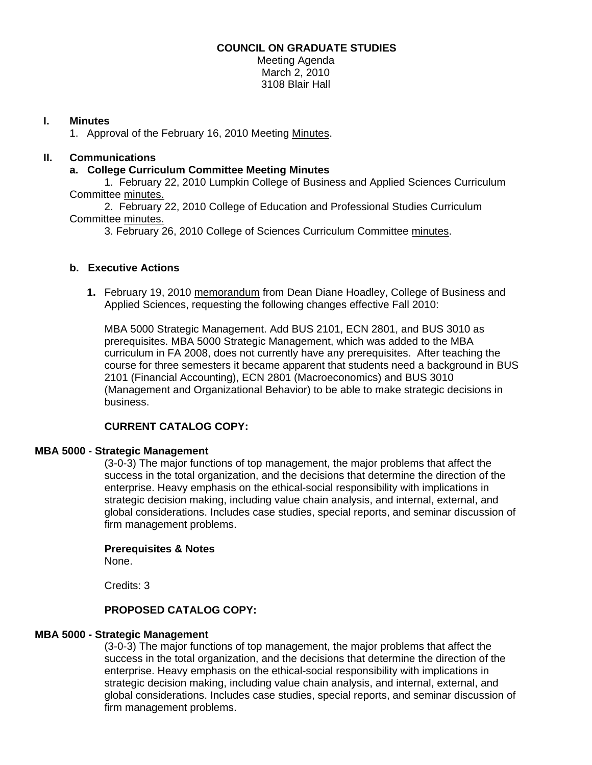# **COUNCIL ON GRADUATE STUDIES**

Meeting Agenda March 2, 2010 3108 Blair Hall

# **I. Minutes**

1. Approval of the February 16, 2010 Meetin[g Minutes.](http://www.eiu.edu/~eiucgs/currentminutes/Minutes2-16-10.pdf) 

# **II. Communications**

# **a. College Curriculum Committee Meeting Minutes**

 1. February 22, 2010 Lumpkin College of Business and Applied Sciences Curriculum Committee [minutes.](http://www.eiu.edu/~eiucgs/currentagendaitems/LCBASMin2-22-10.pdf)

 2. February 22, 2010 College of Education and Professional Studies Curriculum Committ[ee minutes.](http://www.eiu.edu/~eiucgs/currentagendaitems/CEPSMin2-22-10.pdf)

3. February 26, 2010 College of Sciences Curriculum Committee [minutes](http://www.eiu.edu/~eiucgs/currentagendaitems/COSMin2-26-10.pdf).

# **b. Executive Actions**

**1.** February 19, 2010 [memorandum f](http://www.eiu.edu/~eiucgs/currentagendaitems/LCBAS-2-19-10ExecAct.pdf)rom Dean Diane Hoadley, College of Business and Applied Sciences, requesting the following changes effective Fall 2010:

MBA 5000 Strategic Management. Add BUS 2101, ECN 2801, and BUS 3010 as prerequisites. MBA 5000 Strategic Management, which was added to the MBA curriculum in FA 2008, does not currently have any prerequisites. After teaching the course for three semesters it became apparent that students need a background in BUS 2101 (Financial Accounting), ECN 2801 (Macroeconomics) and BUS 3010 (Management and Organizational Behavior) to be able to make strategic decisions in business.

# **CURRENT CATALOG COPY:**

### **MBA 5000 - Strategic Management**

(3-0-3) The major functions of top management, the major problems that affect the success in the total organization, and the decisions that determine the direction of the enterprise. Heavy emphasis on the ethical-social responsibility with implications in strategic decision making, including value chain analysis, and internal, external, and global considerations. Includes case studies, special reports, and seminar discussion of firm management problems.

### **Prerequisites & Notes**

None.

Credits: 3

### **PROPOSED CATALOG COPY:**

### **MBA 5000 - Strategic Management**

(3-0-3) The major functions of top management, the major problems that affect the success in the total organization, and the decisions that determine the direction of the enterprise. Heavy emphasis on the ethical-social responsibility with implications in strategic decision making, including value chain analysis, and internal, external, and global considerations. Includes case studies, special reports, and seminar discussion of firm management problems.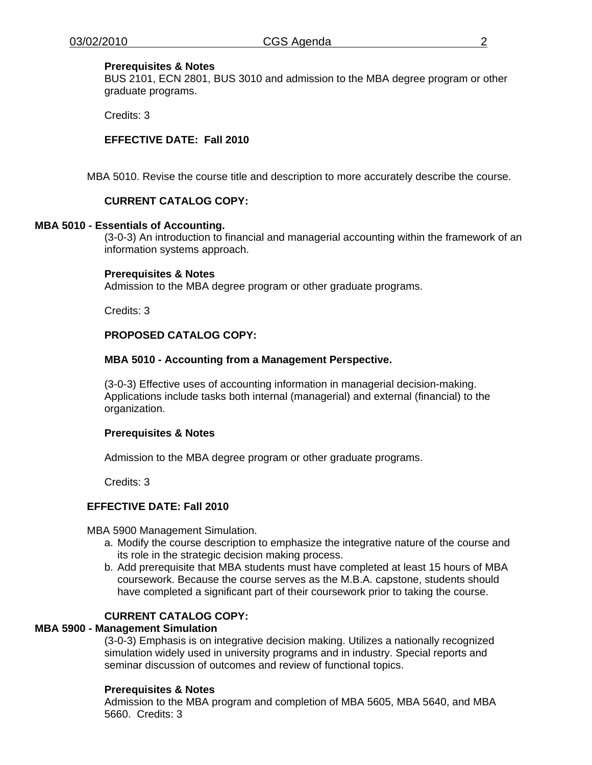### **Prerequisites & Notes**

BUS 2101, ECN 2801, BUS 3010 and admission to the MBA degree program or other graduate programs.

Credits: 3

### **EFFECTIVE DATE: Fall 2010**

MBA 5010. Revise the course title and description to more accurately describe the course.

### **CURRENT CATALOG COPY:**

#### **MBA 5010 - Essentials of Accounting.**

(3-0-3) An introduction to financial and managerial accounting within the framework of an information systems approach.

#### **Prerequisites & Notes**

Admission to the MBA degree program or other graduate programs.

Credits: 3

# **PROPOSED CATALOG COPY:**

#### **MBA 5010 - Accounting from a Management Perspective.**

(3-0-3) Effective uses of accounting information in managerial decision-making. Applications include tasks both internal (managerial) and external (financial) to the organization.

### **Prerequisites & Notes**

Admission to the MBA degree program or other graduate programs.

Credits: 3

# **EFFECTIVE DATE: Fall 2010**

MBA 5900 Management Simulation.

- a. Modify the course description to emphasize the integrative nature of the course and its role in the strategic decision making process.
- b. Add prerequisite that MBA students must have completed at least 15 hours of MBA coursework. Because the course serves as the M.B.A. capstone, students should have completed a significant part of their coursework prior to taking the course.

# **CURRENT CATALOG COPY:**

# **MBA 5900 - Management Simulation**

(3-0-3) Emphasis is on integrative decision making. Utilizes a nationally recognized simulation widely used in university programs and in industry. Special reports and seminar discussion of outcomes and review of functional topics.

### **Prerequisites & Notes**

Admission to the MBA program and completion of MBA 5605, MBA 5640, and MBA 5660. Credits: 3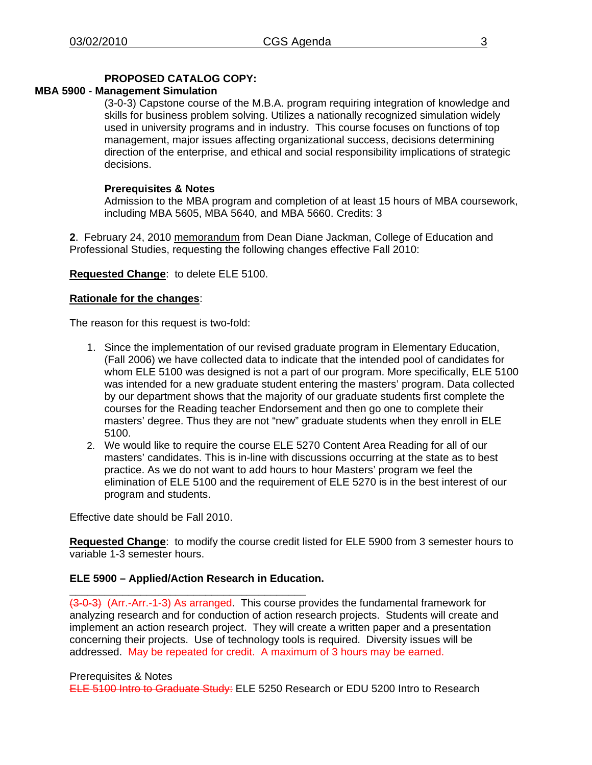# **PROPOSED CATALOG COPY:**

# **MBA 5900 - Management Simulation**

(3-0-3) Capstone course of the M.B.A. program requiring integration of knowledge and skills for business problem solving. Utilizes a nationally recognized simulation widely used in university programs and in industry. This course focuses on functions of top management, major issues affecting organizational success, decisions determining direction of the enterprise, and ethical and social responsibility implications of strategic decisions.

### **Prerequisites & Notes**

Admission to the MBA program and completion of at least 15 hours of MBA coursework, including MBA 5605, MBA 5640, and MBA 5660. Credits: 3

**2**. February 24, 201[0 memorandum fro](http://www.eiu.edu/~eiucgs/currentagendaitems/CEPS-EA-2-24-10.pdf)m Dean Diane Jackman, College of Education and Professional Studies, requesting the following changes effective Fall 2010:

**Requested Change**: to delete ELE 5100.

# **Rationale for the changes**:

The reason for this request is two-fold:

- 1. Since the implementation of our revised graduate program in Elementary Education, (Fall 2006) we have collected data to indicate that the intended pool of candidates for whom ELE 5100 was designed is not a part of our program. More specifically, ELE 5100 was intended for a new graduate student entering the masters' program. Data collected by our department shows that the majority of our graduate students first complete the courses for the Reading teacher Endorsement and then go one to complete their masters' degree. Thus they are not "new" graduate students when they enroll in ELE 5100.
- 2. We would like to require the course ELE 5270 Content Area Reading for all of our masters' candidates. This is in-line with discussions occurring at the state as to best practice. As we do not want to add hours to hour Masters' program we feel the elimination of ELE 5100 and the requirement of ELE 5270 is in the best interest of our program and students.

Effective date should be Fall 2010.

**Requested Change**: to modify the course credit listed for ELE 5900 from 3 semester hours to variable 1-3 semester hours.

### **ELE 5900 – Applied/Action Research in Education.**

**\_\_\_\_\_\_\_\_\_\_\_\_\_\_\_\_\_\_\_\_\_\_\_\_\_\_\_\_\_\_\_\_\_\_\_\_\_\_\_\_**  (3-0-3) (Arr.-Arr.-1-3) As arranged. This course provides the fundamental framework for analyzing research and for conduction of action research projects. Students will create and implement an action research project. They will create a written paper and a presentation concerning their projects. Use of technology tools is required. Diversity issues will be addressed. May be repeated for credit. A maximum of 3 hours may be earned.

#### Prerequisites & Notes

ELE 5100 Intro to Graduate Study: ELE 5250 Research or EDU 5200 Intro to Research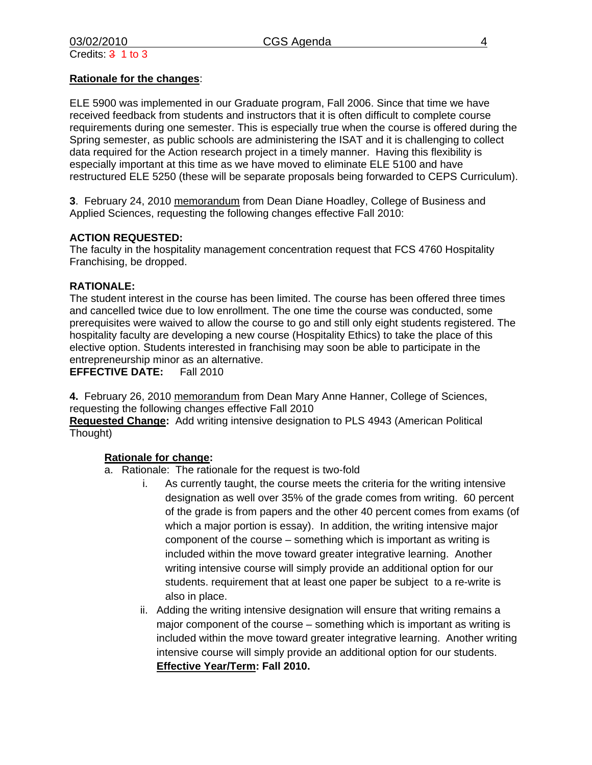# **Rationale for the changes**:

ELE 5900 was implemented in our Graduate program, Fall 2006. Since that time we have received feedback from students and instructors that it is often difficult to complete course requirements during one semester. This is especially true when the course is offered during the Spring semester, as public schools are administering the ISAT and it is challenging to collect data required for the Action research project in a timely manner. Having this flexibility is especially important at this time as we have moved to eliminate ELE 5100 and have restructured ELE 5250 (these will be separate proposals being forwarded to CEPS Curriculum).

**3**. February 24, 201[0 memorandum f](http://www.eiu.edu/~eiucgs/currentagendaitems/LCBAS-EA-2-24-10.pdf)rom Dean Diane Hoadley, College of Business and Applied Sciences, requesting the following changes effective Fall 2010:

# **ACTION REQUESTED:**

The faculty in the hospitality management concentration request that FCS 4760 Hospitality Franchising, be dropped.

### **RATIONALE:**

The student interest in the course has been limited. The course has been offered three times and cancelled twice due to low enrollment. The one time the course was conducted, some prerequisites were waived to allow the course to go and still only eight students registered. The hospitality faculty are developing a new course (Hospitality Ethics) to take the place of this elective option. Students interested in franchising may soon be able to participate in the entrepreneurship minor as an alternative.

**EFFECTIVE DATE:** Fall 2010

**4.** February 26, 201[0 memorandum fro](http://www.eiu.edu/~eiucgs/currentagendaitems/COS-EA-2-26-10.pdf)m Dean Mary Anne Hanner, College of Sciences, requesting the following changes effective Fall 2010

**Requested Change:** Add writing intensive designation to PLS 4943 (American Political Thought)

### **Rationale for change:**

- a. Rationale: The rationale for the request is two-fold
	- i. As currently taught, the course meets the criteria for the writing intensive designation as well over 35% of the grade comes from writing. 60 percent of the grade is from papers and the other 40 percent comes from exams (of which a major portion is essay). In addition, the writing intensive major component of the course – something which is important as writing is included within the move toward greater integrative learning. Another writing intensive course will simply provide an additional option for our students. requirement that at least one paper be subject to a re-write is also in place.
	- ii. Adding the writing intensive designation will ensure that writing remains a major component of the course – something which is important as writing is included within the move toward greater integrative learning. Another writing intensive course will simply provide an additional option for our students. **Effective Year/Term: Fall 2010.**